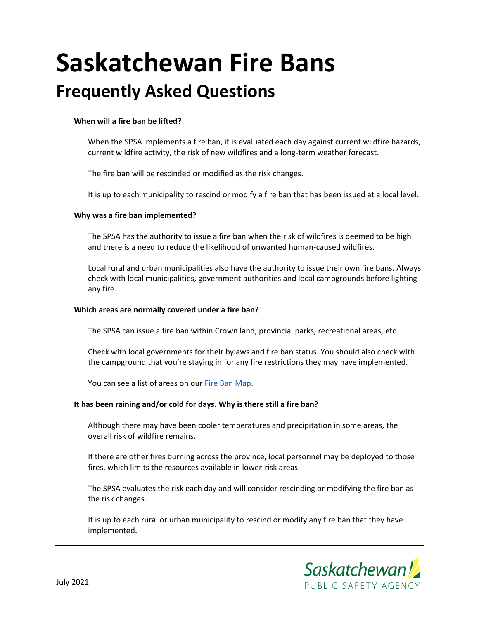# **Saskatchewan Fire Bans Frequently Asked Questions**

# **When will a fire ban be lifted?**

When the SPSA implements a fire ban, it is evaluated each day against current wildfire hazards, current wildfire activity, the risk of new wildfires and a long-term weather forecast.

The fire ban will be rescinded or modified as the risk changes.

It is up to each municipality to rescind or modify a fire ban that has been issued at a local level.

## **Why was a fire ban implemented?**

The SPSA has the authority to issue a fire ban when the risk of wildfires is deemed to be high and there is a need to reduce the likelihood of unwanted human-caused wildfires.

Local rural and urban municipalities also have the authority to issue their own fire bans. Always check with local municipalities, government authorities and local campgrounds before lighting any fire.

#### **Which areas are normally covered under a fire ban?**

The SPSA can issue a fire ban within Crown land, provincial parks, recreational areas, etc.

Check with local governments for their bylaws and fire ban status. You should also check with the campground that you're staying in for any fire restrictions they may have implemented.

You can see a list of areas on ou[r Fire Ban Map.](http://environment.gov.sk.ca/firefiles/MunicipalFireBans.pdf)

#### **It has been raining and/or cold for days. Why is there still a fire ban?**

Although there may have been cooler temperatures and precipitation in some areas, the overall risk of wildfire remains.

If there are other fires burning across the province, local personnel may be deployed to those fires, which limits the resources available in lower-risk areas.

The SPSA evaluates the risk each day and will consider rescinding or modifying the fire ban as the risk changes.

It is up to each rural or urban municipality to rescind or modify any fire ban that they have implemented.

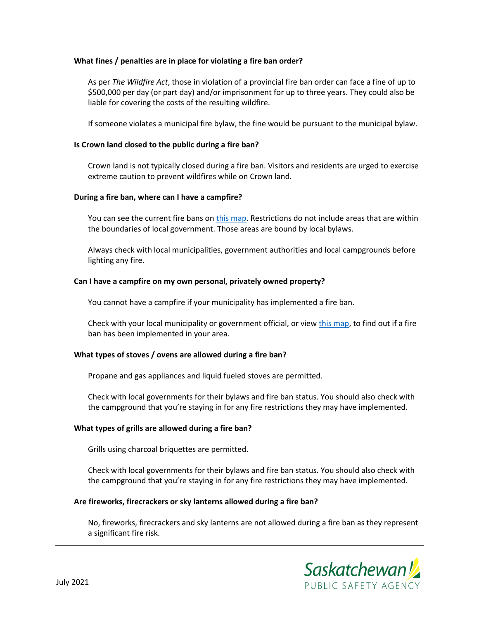## **What fines / penalties are in place for violating a fire ban order?**

As per *The Wildfire Act*, those in violation of a provincial fire ban order can face a fine of up to \$500,000 per day (or part day) and/or imprisonment for up to three years. They could also be liable for covering the costs of the resulting wildfire.

If someone violates a municipal fire bylaw, the fine would be pursuant to the municipal bylaw.

#### **Is Crown land closed to the public during a fire ban?**

Crown land is not typically closed during a fire ban. Visitors and residents are urged to exercise extreme caution to prevent wildfires while on Crown land.

#### **During a fire ban, where can I have a campfire?**

You can see the current fire bans on [this map.](http://environment.gov.sk.ca/firefiles/MunicipalFireBans.pdf) Restrictions do not include areas that are within the boundaries of local government. Those areas are bound by local bylaws.

Always check with local municipalities, government authorities and local campgrounds before lighting any fire.

## **Can I have a campfire on my own personal, privately owned property?**

You cannot have a campfire if your municipality has implemented a fire ban.

Check with your local municipality or government official, or vie[w this map,](http://environment.gov.sk.ca/firefiles/MunicipalFireBans.pdf) to find out if a fire ban has been implemented in your area.

# **What types of stoves / ovens are allowed during a fire ban?**

Propane and gas appliances and liquid fueled stoves are permitted.

Check with local governments for their bylaws and fire ban status. You should also check with the campground that you're staying in for any fire restrictions they may have implemented.

# **What types of grills are allowed during a fire ban?**

Grills using charcoal briquettes are permitted.

Check with local governments for their bylaws and fire ban status. You should also check with the campground that you're staying in for any fire restrictions they may have implemented.

# **Are fireworks, firecrackers or sky lanterns allowed during a fire ban?**

No, fireworks, firecrackers and sky lanterns are not allowed during a fire ban as they represent a significant fire risk.